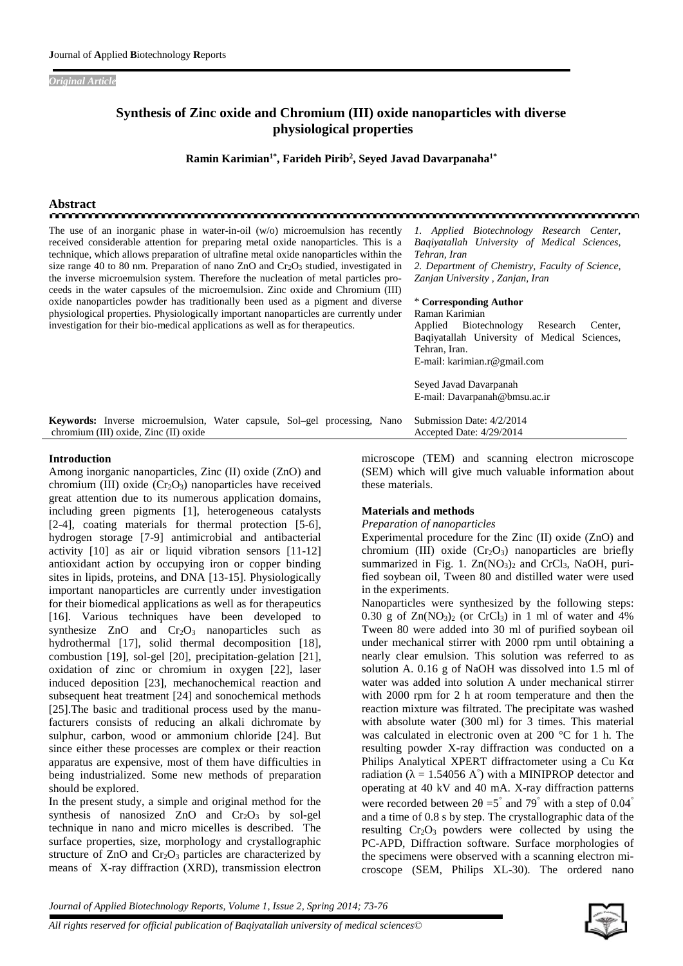*Original Article*

## **Synthesis of Zinc oxide and Chromium (III) oxide nanoparticles with diverse physiological properties**

**Ramin Karimian1\* , Farideh Pirib<sup>2</sup> , Seyed Javad Davarpanaha1\***

# **Abstract**

The use of an inorganic phase in water-in-oil (w/o) microemulsion has recently received considerable attention for preparing metal oxide nanoparticles. This is a technique, which allows preparation of ultrafine metal oxide nanoparticles within the size range 40 to 80 nm. Preparation of nano ZnO and  $Cr_2O_3$  studied, investigated in the inverse microemulsion system. Therefore the nucleation of metal particles proceeds in the water capsules of the microemulsion. Zinc oxide and Chromium (III) oxide nanoparticles powder has traditionally been used as a pigment and diverse physiological properties. Physiologically important nanoparticles are currently under investigation for their bio-medical applications as well as for therapeutics.

*Baqiyatallah University of Medical Sciences, Tehran, Iran 2. Department of Chemistry, Faculty of Science, Zanjan University , Zanjan, Iran*

*1. Applied Biotechnology Research Center,*

## \* **Corresponding Author** Raman Karimian

Applied Biotechnology Research Center, Baqiyatallah University of Medical Sciences, Tehran, Iran. E-mail: karimian.r@gmail.com Seyed Javad Davarpanah E-mail: Davarpanah@bmsu.ac.ir

**Keywords:** Inverse microemulsion, Water capsule, Sol–gel processing, Nano chromium (III) oxide, Zinc (II) oxide Submission Date: 4/2/2014 Accepted Date: 4/29/2014

#### **Introduction**

Among inorganic nanoparticles, Zinc (II) oxide (ZnO) and chromium (III) oxide  $(Cr<sub>2</sub>O<sub>3</sub>)$  nanoparticles have received great attention due to its numerous application domains, including green pigments [1], heterogeneous catalysts [2-4], coating materials for thermal protection [5-6], hydrogen storage [7-9] antimicrobial and antibacterial activity [10] as air or liquid vibration sensors [11-12] antioxidant action by occupying iron or copper binding sites in lipids, proteins, and DNA [13-15]. Physiologically important nanoparticles are currently under investigation for their biomedical applications as well as for therapeutics [16]. Various techniques have been developed to synthesize  $ZnO$  and  $Cr<sub>2</sub>O<sub>3</sub>$  nanoparticles such as hydrothermal [17], solid thermal decomposition [18], combustion [19], sol-gel [20], precipitation-gelation [21], oxidation of zinc or chromium in oxygen [22], laser induced deposition [23], mechanochemical reaction and subsequent heat treatment [24] and sonochemical methods [25].The basic and traditional process used by the manufacturers consists of reducing an alkali dichromate by sulphur, carbon, wood or ammonium chloride [24]. But since either these processes are complex or their reaction apparatus are expensive, most of them have difficulties in being industrialized. Some new methods of preparation should be explored.

In the present study, a simple and original method for the synthesis of nanosized ZnO and  $Cr_2O_3$  by sol-gel technique in nano and micro micelles is described. The surface properties, size, morphology and crystallographic structure of  $ZnO$  and  $Cr<sub>2</sub>O<sub>3</sub>$  particles are characterized by means of X-ray diffraction (XRD), transmission electron microscope (TEM) and scanning electron microscope (SEM) which will give much valuable information about these materials.

## **Materials and methods**

## *Preparation of nanoparticles*

Experimental procedure for the Zinc (II) oxide (ZnO) and chromium (III) oxide  $(Cr_2O_3)$  nanoparticles are briefly summarized in Fig. 1.  $Zn(NO<sub>3</sub>)<sub>2</sub>$  and CrCl<sub>3</sub>, NaOH, purified soybean oil, Tween 80 and distilled water were used in the experiments.

Nanoparticles were synthesized by the following steps: 0.30 g of  $Zn(NO<sub>3</sub>)<sub>2</sub>$  (or CrCl<sub>3</sub>) in 1 ml of water and 4% Tween 80 were added into 30 ml of purified soybean oil under mechanical stirrer with 2000 rpm until obtaining a nearly clear emulsion. This solution was referred to as solution A. 0.16 g of NaOH was dissolved into 1.5 ml of water was added into solution A under mechanical stirrer with 2000 rpm for 2 h at room temperature and then the reaction mixture was filtrated. The precipitate was washed with absolute water (300 ml) for 3 times. This material was calculated in electronic oven at 200 °C for 1 h. The resulting powder X-ray diffraction was conducted on a Philips Analytical XPERT diffractometer using a Cu K radiation ( $= 1.54056$  A°) with a MINIPROP detector and operating at 40 kV and 40 mA. X-ray diffraction patterns were recorded between  $2 = 5$  and 79 with a step of 0.04 and a time of 0.8 s by step. The crystallographic data of the resulting  $Cr_2O_3$  powders were collected by using the PC-APD, Diffraction software. Surface morphologies of the specimens were observed with a scanning electron microscope (SEM, Philips XL-30). The ordered nano

*Journal of Applied Biotechnology Reports, Volume 1, Issue 2, Spring 2014; 73-76*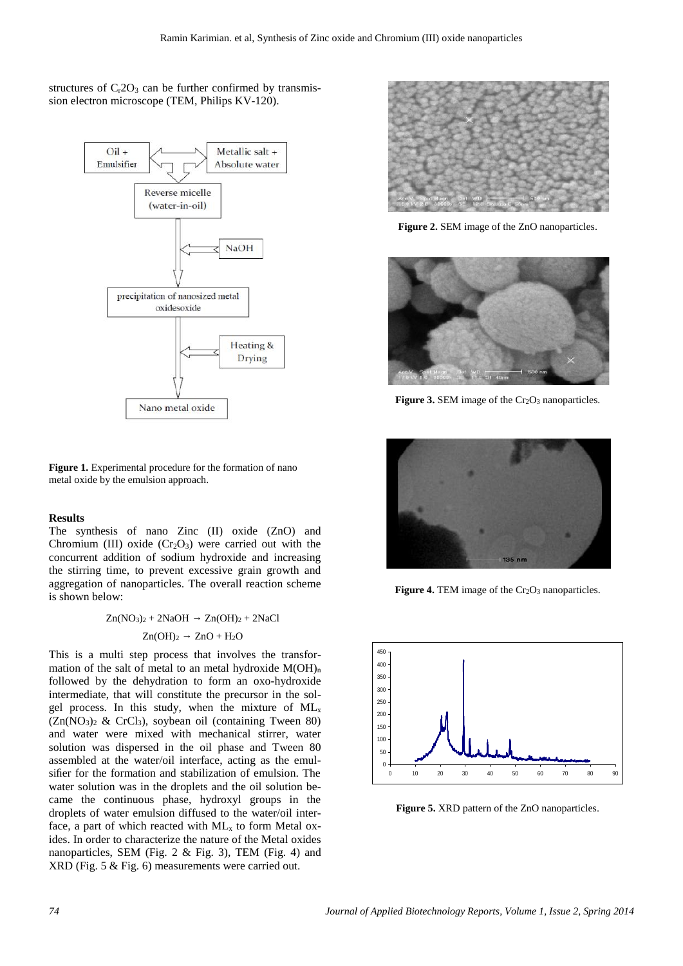## structures of  $C<sub>r</sub>2O<sub>3</sub>$  can be further confirmed by transmission electron microscope (TEM, Philips KV-120).



**Figure 1.** Experimental procedure for the formation of nano metal oxide by the emulsion approach.

### **Results**

The synthesis of nano Zinc (II) oxide (ZnO) and Chromium (III) oxide  $(Cr<sub>2</sub>O<sub>3</sub>)$  were carried out with the concurrent addition of sodium hydroxide and increasing the stirring time, to prevent excessive grain growth and aggregation of nanoparticles. The overall reaction scheme is shown below:

> $Zn(NO<sub>3</sub>)<sub>2</sub> + 2NaOH$   $Zn(OH)<sub>2</sub> + 2NaCl$  $Zn(OH)<sub>2</sub>$   $ZnO + H<sub>2</sub>O$

This is a multi step process that involves the transformation of the salt of metal to an metal hydroxide  $M(OH)_{n}$ followed by the dehydration to form an oxo-hydroxide intermediate, that will constitute the precursor in the sol gel process. In this study, when the mixture of  $ML<sub>x</sub>$  $(Zn(NO<sub>3</sub>)<sub>2</sub> \& CrCl<sub>3</sub>)$ , soybean oil (containing Tween 80) and water were mixed with mechanical stirrer, water solution was dispersed in the oil phase and Tween 80 assembled at the water/oil interface, acting as the emulsifier for the formation and stabilization of emulsion. The water solution was in the droplets and the oil solution became the continuous phase, hydroxyl groups in the droplets of water emulsion diffused to the water/oil interface, a part of which reacted with  $ML<sub>x</sub>$  to form Metal oxides. In order to characterize the nature of the Metal oxides nanoparticles, SEM (Fig. 2 & Fig. 3), TEM (Fig. 4) and XRD (Fig. 5 & Fig. 6) measurements were carried out.



**Figure 2.** SEM image of the ZnO nanoparticles.



**Figure 3.** SEM image of the Cr<sub>2</sub>O<sub>3</sub> nanoparticles.



**Figure 4.** TEM image of the Cr<sub>2</sub>O<sub>3</sub> nanoparticles.



**Figure 5.** XRD pattern of the ZnO nanoparticles.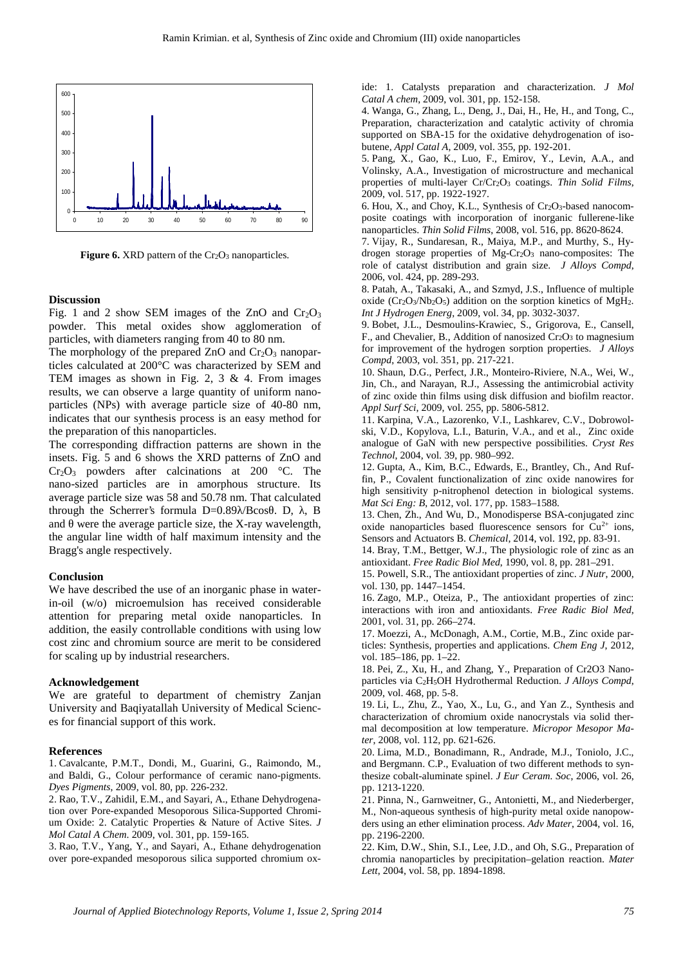

Figure 6. XRD pattern of the Cr<sub>2</sub>O<sub>3</sub> nanoparticles.

#### **Discussion**

Fig. 1 and 2 show SEM images of the ZnO and  $Cr_2O_3$ powder. This metal oxides show agglomeration of particles, with diameters ranging from 40 to 80 nm.

The morphology of the prepared  $ZnO$  and  $Cr<sub>2</sub>O<sub>3</sub>$  nanoparticles calculated at 200°C was characterized by SEM and TEM images as shown in Fig. 2, 3 & 4. From images results, we can observe a large quantity of uniform nanoparticles (NPs) with average particle size of 40-80 nm, indicates that our synthesis process is an easy method for the preparation of this nanoparticles.

The corresponding diffraction patterns are shown in the insets. Fig. 5 and 6 shows the XRD patterns of ZnO and  $Cr_2O_3$  powders after calcinations at 200 °C. The nano-sized particles are in amorphous structure. Its average particle size was 58 and 50.78 nm. That calculated through the Scherrer's formula  $D=0.89$  /Bcos. D,  $\overline{B}$ , and were the average particle size, the X-ray wavelength, the angular line width of half maximum intensity and the Bragg's angle respectively.

#### **Conclusion**

We have described the use of an inorganic phase in waterin-oil (w/o) microemulsion has received considerable attention for preparing metal oxide nanoparticles. In addition, the easily controllable conditions with using low cost zinc and chromium source are merit to be considered for scaling up by industrial researchers.

#### **Acknowledgement**

We are grateful to department of chemistry Zanjan University and Baqiyatallah University of Medical Sciences for financial support of this work.

#### **References**

1. Cavalcante, P.M.T., Dondi, M., Guarini, G., Raimondo, M., and Baldi, G., Colour performance of ceramic nano-pigments. *Dyes Pigments*, 2009, vol. 80, pp. 226-232.

2. Rao, T.V., Zahidil, E.M., and Sayari, A., Ethane Dehydrogenation over Pore-expanded Mesoporous Silica-Supported Chromium Oxide: 2. Catalytic Properties & Nature of Active Sites. *J Mol Catal A Chem*. 2009, vol. 301, pp. 159-165.

3. Rao, T.V., Yang, Y., and Sayari, A., Ethane dehydrogenation over pore-expanded mesoporous silica supported chromium oxide: 1. Catalysts preparation and characterization. *J Mol Catal A chem*,2009, vol. 301, pp. 152-158.

4. Wanga, G., Zhang, L., Deng, J., Dai, H., He, H., and Tong, C., Preparation, characterization and catalytic activity of chromia supported on SBA-15 for the oxidative dehydrogenation of isobutene, *Appl Catal A*, 2009, vol. 355, pp. 192-201.

5. Pang, X., Gao, K., Luo, F., Emirov, Y., Levin, A.A., and Volinsky, A.A., Investigation of microstructure and mechanical properties of multi-layer Cr/Cr2O<sup>3</sup> coatings. *Thin Solid Films*, 2009, vol. 517, pp. 1922-1927.

6. Hou, X., and Choy, K.L., Synthesis of Cr2O3-based nanocomposite coatings with incorporation of inorganic fullerene-like nanoparticles. *Thin Solid Films*, 2008, vol. 516, pp. 8620-8624.

7. Vijay, R., Sundaresan, R., Maiya, M.P., and Murthy, S., Hydrogen storage properties of Mg-Cr2O<sup>3</sup> nano-composites: The role of catalyst distribution and grain size. *J Alloys Compd*, 2006, vol. 424, pp. 289-293.

8. Patah, A., Takasaki, A., and Szmyd, J.S., Influence of multiple oxide ( $Cr_2O_3/Nb_2O_5$ ) addition on the sorption kinetics of MgH<sub>2</sub>. *Int J Hydrogen Energ*, 2009, vol. 34, pp. 3032-3037.

9. Bobet, J.L., Desmoulins-Krawiec, S., Grigorova, E., Cansell, F., and Chevalier, B., Addition of nanosized Cr<sub>2</sub>O<sub>3</sub> to magnesium for improvement of the hydrogen sorption properties. *J Alloys Compd*, 2003, vol. 351, pp. 217-221.

10. Shaun, D.G., Perfect, J.R., Monteiro-Riviere, N.A., Wei, W., Jin, Ch., and Narayan, R.J., Assessing the antimicrobial activity of zinc oxide thin films using disk diffusion and biofilm reactor. *Appl Surf Sci*, 2009, vol. 255, pp. 5806-5812.

11. Karpina, V.A., Lazorenko, V.I., Lashkarev, C.V., Dobrowolski, V.D., Kopylova, L.I., Baturin, V.A., and et al., Zinc oxide analogue of GaN with new perspective possibilities. *Cryst Res Technol*, 2004, vol. 39, pp. 980–992.

12. Gupta, A., Kim, B.C., Edwards, E., Brantley, Ch., And Ruffin, P., Covalent functionalization of zinc oxide nanowires for high sensitivity p-nitrophenol detection in biological systems. *Mat Sci Eng: B*, 2012, vol. 177, pp. 1583–1588.

13. Chen, Zh., And Wu, D., Monodisperse BSA-conjugated zinc oxide nanoparticles based fluorescence sensors for  $\tilde{C}u^{2+}$  ions, Sensors and Actuators B. *Chemical*, 2014, vol. 192, pp. 83-91.

14. Bray, T.M., Bettger, W.J., The physiologic role of zinc as an antioxidant. *Free Radic Biol Med*, 1990, vol. 8, pp. 281–291.

15. Powell, S.R., The antioxidant properties of zinc. *J Nutr*, 2000, vol. 130, pp. 1447–1454.

16. Zago, M.P., Oteiza, P., The antioxidant properties of zinc: interactions with iron and antioxidants. *Free Radic Biol Med*, 2001, vol. 31, pp. 266–274.

17. Moezzi, A., McDonagh, A.M., Cortie, M.B., Zinc oxide particles: Synthesis, properties and applications. *Chem Eng J*, 2012, vol. 185–186, pp. 1–22.

18. Pei, Z., Xu, H., and Zhang, Y., Preparation of Cr2O3 Nanoparticles via C2H5OH Hydrothermal Reduction. *J Alloys Compd*, 2009, vol. 468, pp. 5-8.

19. Li, L., Zhu, Z., Yao, X., Lu, G., and Yan Z., Synthesis and characterization of chromium oxide nanocrystals via solid thermal decomposition at low temperature. *Micropor Mesopor Mater*, 2008, vol. 112, pp. 621-626.

20. Lima, M.D., Bonadimann, R., Andrade, M.J., Toniolo, J.C., and Bergmann. C.P., Evaluation of two different methods to synthesize cobalt-aluminate spinel. *J Eur Ceram. Soc*, 2006, vol. 26, pp. 1213-1220.

21. Pinna, N., Garnweitner, G., Antonietti, M., and Niederberger, M., Non-aqueous synthesis of high-purity metal oxide nanopowders using an ether elimination process. *Adv Mater*, 2004, vol. 16, pp. 2196-2200.

22. Kim, D.W., Shin, S.I., Lee, J.D., and Oh, S.G., Preparation of chromia nanoparticles by precipitation–gelation reaction. *Mater Lett*, 2004, vol. 58, pp. 1894-1898.